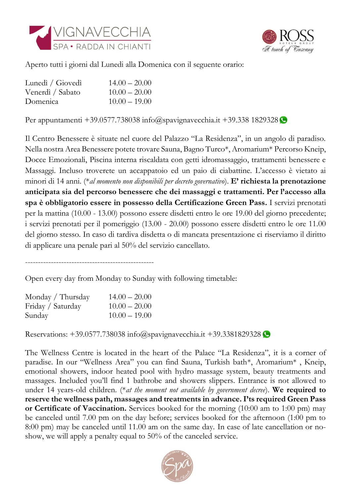



Aperto tutti i giorni dal Lunedi alla Domenica con il seguente orario:

| Lunedì / Giovedì | $14.00 - 20.00$ |
|------------------|-----------------|
| Venerdì / Sabato | $10.00 - 20.00$ |
| Domenica         | $10.00 - 19.00$ |

Per appuntamenti +39.0577.738038 [info@spavignavecchia.it](mailto:info@spavignavecchia.it) +39.338 1829328

Il Centro Benessere è situate nel cuore del Palazzo "La Residenza", in un angolo di paradiso. Nella nostra Area Benessere potete trovare Sauna, Bagno Turco\*, Aromarium\* Percorso Kneip, Docce Emozionali, Piscina interna riscaldata con getti idromassaggio, trattamenti benessere e Massaggi. Incluso troverete un accappatoio ed un paio di ciabattine. L'accesso è vietato ai minori di 14 anni. (\**al momento non disponibili per decreto governativo*). **E' richiesta la prenotazione anticipata sia del percorso benessere che dei massaggi e trattamenti. Per l'accesso alla spa è obbligatorio essere in possesso della Certificazione Green Pass.** I servizi prenotati per la mattina (10.00 - 13.00) possono essere disdetti entro le ore 19.00 del giorno precedente; i servizi prenotati per il pomeriggio (13.00 - 20.00) possono essere disdetti entro le ore 11.00 del giorno stesso. In caso di tardiva disdetta o di mancata presentazione ci riserviamo il diritto di applicare una penale pari al 50% del servizio cancellato.

--------------------------------------------------

Open every day from Monday to Sunday with following timetable:

| Monday / Thursday | $14.00 - 20.00$ |
|-------------------|-----------------|
| Friday / Saturday | $10.00 - 20.00$ |
| Sunday            | $10.00 - 19.00$ |

Reservations:  $+39.0577.738038$  [info@spavignavecchia.it](mailto:info@spavignavecchia.it)  $+39.3381829328$ 

The Wellness Centre is located in the heart of the Palace "La Residenza", it is a corner of paradise. In our "Wellness Area" you can find Sauna, Turkish bath\*, Aromarium\* , Kneip, emotional showers, indoor heated pool with hydro massage system, beauty treatments and massages. Included you'll find 1 bathrobe and showers slippers. Entrance is not allowed to under 14 years-old children. (\**at the moment not available by government decree*). **We required to reserve the wellness path, massages and treatments in advance. I'ts required Green Pass or Certificate of Vaccination.** Services booked for the morning (10:00 am to 1:00 pm) may be canceled until 7.00 pm on the day before; services booked for the afternoon (1:00 pm to 8:00 pm) may be canceled until 11.00 am on the same day. In case of late cancellation or noshow, we will apply a penalty equal to 50% of the canceled service.

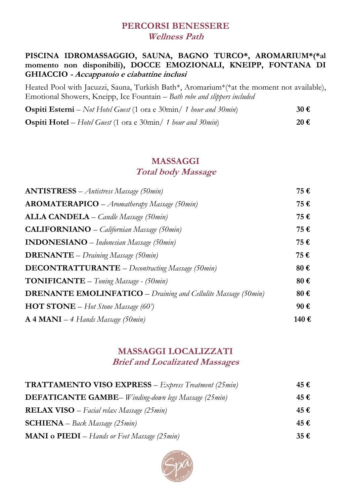#### **PERCORSI BENESSERE Wellness Path**

#### **PISCINA IDROMASSAGGIO, SAUNA, BAGNO TURCO\*, AROMARIUM\*(\*al momento non disponibili), DOCCE EMOZIONALI, KNEIPP, FONTANA DI GHIACCIO - Accappatoio e ciabattine inclusi**

Heated Pool with Jacuzzi, Sauna, Turkish Bath\*, Aromarium\*(\*at the moment not available), Emotional Showers, Kneipp, Ice Fountain – *Bath robe and slippers included*

| <b>Ospiti Esterni</b> – Not Hotel Guest (1 ora e 30min/ 1 hour and 30min) | $30 \text{ } \in$ |
|---------------------------------------------------------------------------|-------------------|
| <b>Ospiti Hotel</b> – Hotel Guest (1 ora e 30min/ 1 hour and 30min)       | 20€               |

### **MASSAGGI Total body Massage**

| <b>ANTISTRESS</b> - Antistress Massage (50min)                        | 75€  |
|-----------------------------------------------------------------------|------|
| $AROMATERAPICO - Aromatherapy Massage (50min)$                        | 75€  |
| <b>ALLA CANDELA</b> - Candle Massage (50min)                          | 75€  |
| <b>CALIFORNIANO</b> - Californian Massage (50min)                     | 75€  |
| <b>INDONESIANO</b> – Indonesian Massage (50min)                       | 75€  |
| <b>DRENANTE</b> - Draining Massage (50min)                            | 75€  |
| <b>DECONTRATTURANTE</b> - Decontracting Massage (50min)               | 80€  |
| <b>TONIFICANTE</b> - Toning Massage - (50min)                         | 80€  |
| <b>DRENANTE EMOLINFATICO</b> – Draining and Cellulite Massage (50min) | 80€  |
| <b>HOT STONE</b> – Hot Stone Massage (60')                            | 90€  |
| $A 4 MANI - 4 Hands Massage (50min)$                                  | 140€ |

### **MASSAGGI LOCALIZZATI Brief and Localizated Massages**

| <b>TRATTAMENTO VISO EXPRESS</b> $-$ <i>Express Treatment (25 min)</i> | 45€ |
|-----------------------------------------------------------------------|-----|
| <b>DEFATICANTE GAMBE</b> – Winding-down legs Massage (25 min)         | 45€ |
| <b>RELAX VISO</b> – Facial relax Massage (25 $min$ )                  | 45€ |
| <b>SCHIENA</b> – Back Massage (25 min)                                | 45€ |
| <b>MANI o PIEDI</b> – Hands or Feet Massage (25min)                   | 35€ |